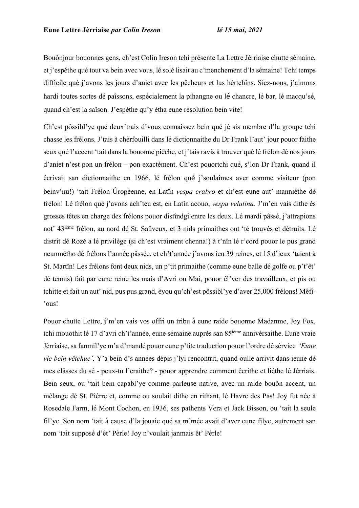Bouônjour bouonnes gens, ch'est Colin Ireson tchi présente La Lettre Jèrriaise chutte sémaine, et j'espéthe qué tout va bein avec vous, lé solé lisait au c'menchement d'la sémaine! Tchi temps difficile qué j'avons les jours d'aniet avec les pêcheurs et lus hèrtchîns. Siez-nous, j'aimons hardi toutes sortes dé paîssons, espécialement la pihangne ou lé chancre, lé bar, lé macqu'sé, quand ch'est la saîson. J'espéthe qu'y étha eune résolution bein vite!

Ch'est pôssibl'ye qué deux'trais d'vous connaissez bein qué jé sis membre d'la groupe tchi chasse les frélons. J'tais à chèrfouilli dans lé dictionnaithe du Dr Frank l'aut' jour pouor faithe seux qué l'accent 'tait dans la bouonne pièche, et j'tais ravis à trouver qué lé frélon dé nos jours d'aniet n'est pon un frélon – pon exactément. Ch'est pouortchi qué, s'lon Dr Frank, quand il êcrivait san dictionnaithe en 1966, lé frélon qué j'soulaîmes aver comme visiteur (pon beinv'nu!) 'tait Frélon Ûropéenne, en Latîn *vespa crabro* et ch'est eune aut' manniéthe dé frélon! Lé frélon qué j'avons ach'teu est, en Latîn acouo, *vespa velutina.* J'm'en vais dithe ès grosses têtes en charge des frélons pouor distîndgi entre les deux. Lé mardi pâssé, j'attrapions not' 43ième frélon, au nord dé St. Saûveux, et 3 nids primaithes ont 'té trouvés et détruits. Lé distrit dé Rozé a lé privilège (si ch'est vraiment chenna!) à t'nîn lé r'cord pouor le pus grand neunmétho dé frélons l'année pâssée, et ch't'année j'avons ieu 39 reines, et 15 d'ieux 'taient à St. Martîn! Les frélons font deux nids, un p'tit primaithe (comme eune balle dé golfe ou p't'êt' dé tennis) fait par eune reine les mais d'Avri ou Mai, pouor êl'ver des travailleux, et pis ou tchitte et fait un aut' nid, pus pus grand, èyou qu'ch'est pôssibl'ye d'aver 25,000 frélons! Mêfi- 'ous!

Pouor chutte Lettre, j'm'en vais vos offri un tribu à eune raide bouonne Madanme, Joy Fox, tchi mouothit lé 17 d'avri ch't'année, eune sémaine auprès san 85ième annivèrsaithe. Eune vraie Jèrriaise, sa fanmil'ye m'a d'mandé pouor eune p'tite traduction pouor l'ordre dé sèrvice *'Eune vie bein vêtchue'.* Y'a bein d's années dépis j'lyi rencontrit, quand oulle arrivit dans ieune dé mes clâsses du sé - peux-tu l'craithe? - pouor apprendre comment êcrithe et liéthe lé Jèrriais. Bein seux, ou 'tait bein capabl'ye comme parleuse native, avec un raide bouôn accent, un mêlange dé St. Pièrre et, comme ou soulait dithe en rithant, lé Havre des Pas! Joy fut née à Rosedale Farm, lé Mont Cochon, en 1936, ses pathents Vera et Jack Bisson, ou 'tait la seule fil'ye. Son nom 'tait à cause d'la jouaie qué sa m'mée avait d'aver eune filye, autrement san nom 'tait supposé d'êt' Pèrle! Joy n'voulait janmais êt' Pèrle!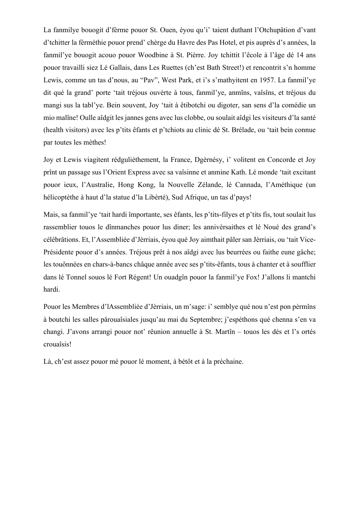La fanmilye bouogit d'fèrme pouor St. Ouen, èyou qu'i' taient duthant l'Otchupâtion d'vant d'tchitter la fèrméthie pouor prend' chèrge du Havre des Pas Hotel, et pis auprès d's années, la fanmil'ye bouogit acouo pouor Woodbine à St. Pièrre. Joy tchittit l'êcole à l'âge dé 14 ans pouor travailli siez Lé Gallais, dans Les Ruettes (ch'est Bath Street!) et rencontrit s'n homme Lewis, comme un tas d'nous, au "Pav", West Park, et i's s'mathyitent en 1957. La fanmil'ye dit qué la grand' porte 'tait tréjous ouvèrte à tous, fanmil'ye, anmîns, vaîsîns, et tréjous du mangi sus la tabl'ye. Bein souvent, Joy 'tait à êtibotchi ou digoter, san sens d'la comédie un mio malîne! Oulle aîdgit les jannes gens avec lus clobbe, ou soulait aîdgi les visiteurs d'la santé (health visitors) avec les p'tits êfants et p'tchiots au clinic dé St. Brélade, ou 'tait bein connue par toutes les mèthes!

Joy et Lewis viagitent rédgulièthement, la France, Dgèrnésy, i' volitent en Concorde et Joy prînt un passage sus l'Orient Express avec sa vaîsinne et anmine Kath. Lé monde 'tait excitant pouor ieux, l'Australie, Hong Kong, la Nouvelle Zélande, lé Cannada, l'Améthique (un hélicoptèthe à haut d'la statue d'la Libèrté), Sud Afrique, un tas d'pays!

Mais, sa fanmil'ye 'tait hardi împortante, ses êfants, les p'tits-filyes et p'tits fis, tout soulait lus rassemblier touos le dînmanches pouor lus diner; les annivèrsaithes et lé Noué des grand's célébrâtions. Et, l'Assembliée d'Jèrriais, éyou qué Joy aimthait pâler san Jèrriais, ou 'tait Vice-Présidente pouor d's années. Tréjous prêt à nos aîdgi avec lus beurrées ou faithe eune gâche; les touônnées en chars-à-bancs châque année avec ses p'tits-êfants, tous à chanter et à soufflier dans lé Tonnel souos lé Fort Régent! Un ouadgîn pouor la fanmil'ye Fox! J'allons li mantchi hardi.

Pouor les Membres d'lAssembliée d'Jèrriais, un m'sage: i' semblye qué nou n'est pon pèrmîns à boutchi les salles pârouaîsiales jusqu'au mai du Septembre; j'espéthons qué chenna s'en va changi. J'avons arrangi pouor not' rêunion annuelle à St. Martîn – touos les dés et l's ortés crouaîsis!

Là, ch'est assez pouor mé pouor lé moment, à bétôt et à la préchaine.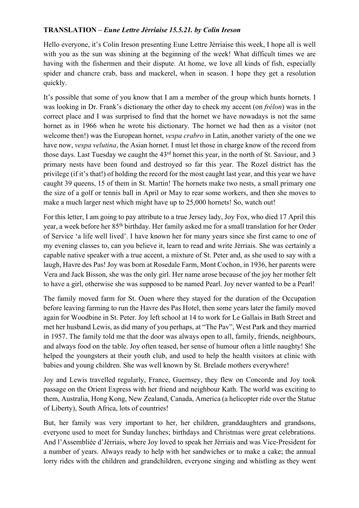## **TRANSLATION –** *Eune Lettre Jèrriaise 15.5.21. by Colin Ireson*

Hello everyone, it's Colin Ireson presenting Eune Lettre Jèrriaise this week, I hope all is well with you as the sun was shining at the beginning of the week! What difficult times we are having with the fishermen and their dispute. At home, we love all kinds of fish, especially spider and chancre crab, bass and mackerel, when in season. I hope they get a resolution quickly.

It's possible that some of you know that I am a member of the group which hunts hornets. I was looking in Dr. Frank's dictionary the other day to check my accent (on *frélon*) was in the correct place and I was surprised to find that the hornet we have nowadays is not the same hornet as in 1966 when he wrote his dictionary. The hornet we had then as a visitor (not welcome then!) was the European hornet, *vespa crabro* in Latin, another variety of the one we have now, *vespa velutina*, the Asian hornet. I must let those in charge know of the record from those days. Last Tuesday we caught the 43rd hornet this year, in the north of St. Saviour, and 3 primary nests have been found and destroyed so far this year. The Rozel district has the privilege (if it's that!) of holding the record for the most caught last year, and this year we have caught 39 queens, 15 of them in St. Martin! The hornets make two nests, a small primary one the size of a golf or tennis ball in April or May to rear some workers, and then she moves to make a much larger nest which might have up to 25,000 hornets! So, watch out!

For this letter, I am going to pay attribute to a true Jersey lady, Joy Fox, who died 17 April this year, a week before her 85th birthday. Her family asked me for a small translation for her Order of Service 'a life well lived'. I have known her for many years since she first came to one of my evening classes to, can you believe it, learn to read and write Jèrriais. She was certainly a capable native speaker with a true accent, a mixture of St. Peter and, as she used to say with a laugh, Havre des Pas! Joy was born at Rosedale Farm, Mont Cochon, in 1936, her parents were Vera and Jack Bisson, she was the only girl. Her name arose because of the joy her mother felt to have a girl, otherwise she was supposed to be named Pearl. Joy never wanted to be a Pearl!

The family moved farm for St. Ouen where they stayed for the duration of the Occupation before leaving farming to run the Havre des Pas Hotel, then some years later the family moved again for Woodbine in St. Peter. Joy left school at 14 to work for Le Gallais in Bath Street and met her husband Lewis, as did many of you perhaps, at "The Pav", West Park and they married in 1957. The family told me that the door was always open to all, family, friends, neighbours, and always food on the table. Joy often teased, her sense of humour often a little naughty! She helped the youngsters at their youth club, and used to help the health visitors at clinic with babies and young children. She was well known by St. Brelade mothers everywhere!

Joy and Lewis travelled regularly, France, Guernsey, they flew on Concorde and Joy took passage on the Orient Express with her friend and neighbour Kath. The world was exciting to them, Australia, Hong Kong, New Zealand, Canada, America (a helicopter ride over the Statue of Liberty), South Africa, lots of countries!

But, her family was very important to her, her children, granddaughters and grandsons, everyone used to meet for Sunday lunches; birthdays and Christmas were great celebrations. And l'Assembliée d'Jèrriais, where Joy loved to speak her Jèrriais and was Vice-President for a number of years. Always ready to help with her sandwiches or to make a cake; the annual lorry rides with the children and grandchildren, everyone singing and whistling as they went